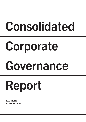# Consolidated

# Corporate

# Governance

# Report

**PALFINGER** Annual Report 2021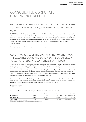# CONSOLIDATED CORPORATE GOVERNANCE REPORT

# DECLARATION PURSUANT TO SECTION 243C AND 267B OF THE AUSTRIAN BUSINESS CODE (UNTERNEHMENSGESETZBUCH, UGB)

PALFINGER is committed to the standards of the Austrian Code of Corporate Governance (www.corporate-governance.at), satisfies the requirements of the binding L-rules (legal requirements), and adheres to nearly all C-rules (comply or explain) of the Code. In accordance with legal provisions, this commitment is evaluated annually by an external auditor. The result of this evaluation confirms that corporate governance is practiced at PALFINGER. The report on the evaluation of compliance with the Austrian Code of Corporate Governance is available to all interested parties on PALFINGER's corporate website (www.palfinger.ag).

L<br />
www.palfinger.ag/en/investors/corporate-governance; www.corporate-governance.at

## GOVERNING BODIES OF THE COMPANY AND FUNCTIONING OF THE EXECUTIVE BOARD AND SUPERVISORY BOARD PURSUANT TO SECTION 243c(2) AND SECTION 267b OF THE UGB

In accordance with the Austrian Stock Corporation Act (Aktiengesetz, AktG), the Executive Board of PALFINGER AG manages the company under its own responsibility in the best interest of the company, taking into consideration the interests of all stakeholders.The foremost principles include fostering a positive working relationship and continuous communication with the other members of the board, keeping an open mind, and reaching decisions quickly and efficiently. The Executive Board directs the management teams responsible for operations in the individual segments and/or businesses and functions. In addition, the Executive Board is represented in the management of several PALFINGER holding companies in Austria. Martin Zehnder is also a member of the Supervisory Board of Palfinger Europe GmbH.

The Supervisory Board of PALFINGER AG supervises the company's management and supports the Executive Board with major decisions.The foundation of good corporate governance is open communication between the Executive Board and the Supervisory Board and within the respective Boards.This has a long tradition at PALFINGER.

## Executive Board

The Executive Board of PALFINGER AG comprised three people over the entire fiscal year 2021

| Name                                                      |       | Initial appointment | End of the term of office | Diversity factors <sup>1)</sup> |
|-----------------------------------------------------------|-------|---------------------|---------------------------|---------------------------------|
| <b>Andreas Klauser</b>                                    | (CEO) | 6/1/2018            | 5/31/2023                 | male; born in 1965; AT          |
| <b>Felix Strohbichler</b>                                 | (CFO) | 10/1/2017           | 12/31/2027 <sup>2)</sup>  | male: born in 1974: AT          |
| <b>Martin Zehnder</b>                                     | (COO) | 1/1/2008            | 12/31/2023                | male; born in 1967; CH          |
| 1) Diversity factors include gender, age, and nationality |       |                     |                           |                                 |

1) Diversity factors include gender, age, and nationality. 2) Appointment extended until December 31, 2027 by Supervisory Board resolution of January 27, 2022.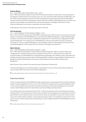#### Andreas Klauser

#### CEO – CHIEF EXECUTIVE OFFICER (SINCE JUNE 1, 2018)

Born in 1965, Andreas Klauser began his career at STEYR Landmaschinentechnik in Upper Austria. He was responsible for the integration of twelve brands and nine business units in Turin, Italy, as the COO of CNH Industrial for the EMEA region until 2015. Most recently, Klauser was a member of the CNH Industrial board of directors based in the USA and Global Brand President of Case IH and STEYR. Andreas Klauser has been Chief Executive Officer of PALFINGER AG since June 2018. In this capacity, his responsibilities include Sales & Service, Business Development, P21st/Digital Transformation, Human Resources, Marketing & Communication, Sustainability, and Investor Relations.

Andreas Klauser is also chairman of the supervisory boards of Trivest AG.

#### Felix Strohbichler

#### CFO – CHIEF FINANCIAL OFFICER (SINCE OCTOBER 1, 2017)

Born in 1974, Strohbichler became head of PALFINGER's Legal department in 2000. He went on to hold numerous executive positions in several areas of the PALFINGER Group, most recently that of EMEA Area Manager in charge of Marketing, Sales and Service, and Finance and Controlling. From May 2015 to September 2017 Strohbichler was managing director of B&C Industrieholding GmbH. In his capacity as CFO of PALFINGER AG, he has been responsible for the areas of Controlling, Accounting, Tax, Treasury, Legal, Risk Management, Internal Auditing, Compliance, Sales & Operations Planning, Process and Quality Management, and Information and Communications Technology since October 2017.

#### Martin Zehnder

#### COO – CHIEF OPERATING OFFICER (SINCE JANUARY 1, 2008)

Born in 1967, Martin Zehnder began his career at Alstom Schienenfahrzeuge AG in 1984. From 2000 to 2005 he was managing director of development and production at Keystone Europe in France. In 2005, Zehnder took charge of all production facilities in the PALFINGER Group as Global Manufacturing Manager. Since 2008 he has been responsible for the worldwide manufacturing and assembly area as Chief Operating Officer. In addition, his responsibilities include Product Line Management, Research & Development, Procurement, Health, Safety & Environment (HSE), and Supply Chain Management.

Martin Zehnder is also a member of the supervisory board of Rosenbauer International AG.

The Board of Management has overall responsibility for sustainability. The functions of Group Data Protection Officer and Issuer Compliance Officer also report to the full Board of Management.

G Group Management Report, Remuneration of the Executive Board and Supervisory Board, p. 76

## Supervisory Board

In 2021, the Supervisory Board of PALFINGER AG initially comprised seven members elected at the Annual General Meeting and three members delegated by the works council. Heinrich Dieter Kiener resigned at the Annual General Meeting on April 7, 2021, and Ms. Sita Mazumder was elected to the Supervisory Board by the Annual General Meeting as the new seventh member. Hubert Palfinger was the Chair. Gerhard Rauch and Hannes Palfinger were Deputy Chairs.

Five meetings of the Supervisory Board were held in 2021. The Supervisory Board focused on the following topics during its meetings in 2021: the current performance of the business, the effects of the challenging economic operating environment in light of COVID-19 and the difficult situation of the procurement markets, the cyberattack of January 2021, actions to reduce costs and the capital employed, integration, restructuring and expansion projects, risk management and the internal control system and anti-corruption measures, key sustainability issues, and the strategic orientation of the PALFINGER Group for the next few years.

Group Management Report, Report of the Supervisory Board, p. 169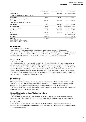| Name                                                 | Initial appointment | End of the term of office   | Diversity factors <sup>2)</sup>  |
|------------------------------------------------------|---------------------|-----------------------------|----------------------------------|
| <b>Hubert Palfinger</b>                              | 4/13/2005           | AGM 2025                    | male; born in 1969; AT           |
| (Chairman of the Supervisory Board since 12/10/2013) |                     |                             |                                  |
| <b>Gerhard Rauch</b>                                 | 3/9/2016            | AGM 2021                    | male; born in 1963; AT           |
| (First Deputy Chairman since 6/6/2016)               |                     |                             |                                  |
| <b>Hannes Palfinger</b>                              | 3/30/2011           | AGM 2021                    | male; born in 1973; AT           |
| (Second Deputy Chairman since 12/10/2013)            |                     |                             |                                  |
| <b>Hannes Bogner</b>                                 | 3/8/2017            | AGM 2022                    | male; born in 1959; AT           |
| Ellyn Shenglin Cai                                   | 3/7/2018            | AGM 2023                    | female; born in 1986; CN         |
| <b>Heinrich Dieter Kiener</b>                        | 3/30/2011           | April 7, 2021 <sup>3)</sup> | male; born in 1956; AT           |
| <b>Isabel Diaz Rohr</b>                              | 8/5/2020            | AGM 2025                    | female; born in 1967;<br>ESP/GER |
| Sita Mazumder                                        | 04/07/2021          | AGM 2026                    | female; born in 1970; CH         |
| Johannes Kücher <sup>1)</sup>                        | 2/6/2015            | 1)                          | male; born in 1963; AT           |
| Alois Weiss <sup>1)</sup>                            | 2/13/2006           | 1)                          | male; born in 1962; AT           |
| Erwin Asen $1$                                       | 12/20/2017          | 1)                          | male; born in 1971; AT           |
|                                                      |                     |                             |                                  |

1) Delegated by the works council. 2) Diversity factors include gender, age, and nationality. 3) Resigned at the end of the AGM 2021 on April 7, 2021

#### Hubert Palfinger

#### Chairman of the Supervisory Board

After 15 years in various companies of the PALFINGER Group, Hubert Palfinger took over the management of Industrieholding GmbH in 2004. He has been a member of the Supervisory Board of PALFINGER AG since 2005 and became Deputy Chairman in September 2008. In 2013, he was elected Chairman of the Supervisory Board. Hubert Palfinger is also managing director of IC International Consulting GmbH, HP Immobilien GmbH, and Industrieholding GmbH.

#### Gerhard Rauch

#### First Deputy Chairman

As a managing partner of the Walser Group, Gerhard Rauch has wide-ranging experience in truck body manufacturing and vehicle construction and has worked with the PALFINGER Group in this business area for decades. Mr. Rauch is managing partner of Walser GmbH and chairman of the board of Walser Schweiz AG (general agency Palfinger). He is also Chairman of the Board of Directors of Walser Zizers AG, Managing Partner of Kulhay Yachtwerft GmbH and managing partner of G.R. Property Ltd. Mr. Rauch is also Co-owner of Rauch Fruchtsäfte GmbH & Co OG. Furthermore, Mr. Rauch is the economic coowner of Rauch Private foundation and beneficial owner of E.R. private foundation. He has been a member of the supervisory board since 2016 PALFINGER AG and 1st Deputy Chairman.

#### Hannes Palfinger

#### Second Deputy Chairman

After studying business administration and pursuing a career as an athlete, Hannes Palfinger spent three years working for PricewaterhouseCoopers in Vienna as an assistant auditor. From 2007 to 2010, he held an executive position at Palfinger Systems GmbH. Hannes Palfinger is currently managing director of Clear Holding GmbH, HP Immobilien GmbH, Industrieholding GmbH, and Audiodata Lautsprecher GmbH. He has been a member of the Supervisory Board of PALFINGER AG since 2011 and Second Deputy Chairman since 2013.

#### Other positions held by members of the Supervisory Board

#### HANNES BOGNER

In addition to being a member of the Supervisory Board of PALFINGER AG, Hannes Bogner has a seat on the supervisory boards of Niederösterreichische Versicherung AG, Oberbank AG, BKS Bank AG, and the Bank für Tirol und Vorarlberg AG.

#### ELLYN SHENGLIN CAI

In addition to being a member of the Supervisory Board of PALFINGER AG, Ellyn Shenglin Cai is senior manager in the Financial & Taxation Management Department of SANY HEAVY INDUSTRIES Co., Ltd and a member of the supervisory board of Putzmeister Holding GmbH.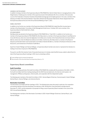#### HEINRICH DIETER KIENER

In addition to being a member of the Supervisory Board of PALFINGER AG, Heinrich Dieter Kiener is managing director of the Stiegl brewery in Salzburg and a member of the supervisory board of Schoellerbank AG. He is a member of the executive council of the Federation of Austrian Industries (Industriellenvereinigung) and its Salzburg branch. He is also a member of the steering committee of the Austrian Brewers' Association (Verband der Brauereien Österreichs). Kiener stepped down from the Supervisory Board at the end of the Annual General Meeting on April 7, 2021.

#### ISABEL DIAZ ROHR

In addition to her function as a member of the Supervisory Board of PALFINGER AG, Isabel Diaz Rohr has also been a member of the Shareholders' Committee of Voith Management GmbH since 1 October 2021 and a member of the Supervisory Board of Voith GmbH & Co. KGaA.

#### SITA MAZUMDER

Sita Mazumder was elected to the Supervisory Board of PALFINGER AG on 7 April 2021. In addition to her function as a member of the Supervisory Board of PALFINGER AG, Ms. Mazumder is a member of the Supervisory Board of Josef Manner & Comp AG (Vienna), where she chairs the Digitization Committee and a member of the Federal Electricity Commission ElCom (Berne), where she chairs the Market Surveillance Committee. Furthermore, Ms. Mazumder is a member of the Board of Directors and the Nomination and Compensation Committee of Clientis AG (Bern), a member of the Board of Directors of Hiltl AG (Zurich), and Chairwoman of the Board of aeB (Bern).

Apart from Hubert Palfinger and Hannes Palfinger, no Supervisory Board member owns stock or represents the interests of a holding of more than 10 percent in PALFINGER AG.

Pursuant to rule 58 of the Austrian Code of Corporate Governance it is hereby noted that Ms Cai was unable to attend five (of a total of five) Supervisory Board meetings in 2021 due to scheduling conflicts.

www.palfinger.ag/en/company/management Remuneration of the Executive Board and Supervisory Board, p. 76

### Supervisory Board committees

#### Audit Committee

The decision-making authority of the Audit Committee of PALFINGER AG complies with the provisions of the AktG. In 2021, the Audit Committee held three meetings dealing with the 2020 financial statements, the internal control system, risk management, IFRS/accounting topics, internal audits, and cooperation with the independent auditor.

The following were members of the Audit Committee in 2021: Hannes Bogner (Chairman, financial expert), Hubert Palfinger, Gerhard Rauch, Hannes Palfinger, and Johannes Kücher.

#### Nomination Committee

The Nomination Committee held two meetings in 2021. The following topics were discussed in particular: the cooperation and working methods of the Executive Board, the extension of Mr. Strohbichler's Executive Board mandate beyond December 31, 2022, and the preparation of proposals for filling a vacant Supervisory Board mandate in the course of the 2021 Annual General Meeting.

The following were members of the Nomination Committee in 2020: Hubert Palfinger (Chairman), Gerhard Rauch, and Hannes Palfinger.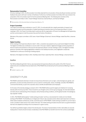### Remuneration Committee

At its two meetings in 2021, the Remuneration Committee dealt with the remuneration of Executive Board members and held feedback discussions with each member of that Board. Furthermore, the Remuneration Committee 2021 was involved in the preparation of the remuneration report for the Annual General Meeting 2021. The following were members of the Remuneration Committee in 2021: Hubert Palfinger (Chairman), Gerhard Rauch, and Hannes Palfinger.

Remuneration of the Executive Board and Supervisory Board, p. 76

### Project Committee

The Project Committee was constituted on June 07, 2021. It is entrusted with the in-depth examination of research and development projects and the preparation of related reporting and resolution items for the Supervisory Board. In its two meetings in 2021, the Project Committee dealt in particular with the organization of Product Line Management & Engineering and the current projects in both the product lines and the Centers of Excellence.

Members of the project committee in 2021 were: Hubert Palfinger (Chairman), Hannes Palfinger, Isabel Diaz-Rohr, Johannes Kücher.

### Digital Comittee

At the meeting of the Supervisory Board on April 7, 2021, a resolution was passed to set up a permanent Digital Committee. The Digital Committee was constituted on June 23, 2021. It focuses in detail on digital technologies and the preparation of items for reports and resolutions on this issue for the Supervisory Board. In its two meetings in 2021, the Digital Committee gained an overview of the ongoing digitalization initiatives in the individual functions, and a digitization cockpit was established for continuous monitoring of existing projects.

Members of the Digital Committee in 2021: Sita Mazumder (Chair), Isabel Diaz-Rohr, Hannes Palfinger, Johannes Kücher.

## Auditor

PwC Wirtschaftsprüfung GmbH, Vienna, was proposed by the Supervisory Board as the auditor of the 2021 financial statements and consolidated financial statements of PALFINGER AG and elected by the Annual General Meeting on April 7, 2021.

Auditor's reports, p. 162

# DIVERSITY PLAN

PALFINGER understands diversity to include not only primary dimensions such as origin, cultural background, gender, and generations, but also secondary dimensions such as a person's working style, values, knowledge, and skills. PALFINGER is convinced that diversity, as part of its corporate culture, benefits all stakeholders and employees.

On the basis of the diversity strategy as revised in 2017, PALFINGER defines specific targets and initiatives for increasing diversity within the Group by 2022. These include the use of English as the common group language, the internationalization and intercultural understanding of the employees, family-friendly working conditions, and the global transfer of knowledge by way of greater mobility.

In 2021, PALFINGER defined global "mobile working principles" and thus a new standard for mobile and more flexible working at PALFINGER. This flexibility as an integral part of day-to-day corporate practice allows rapid responses to achieve a better balance between professional, private, and family issues. At PALFINGER, mobile working is possible for up to ten days a month, provided it makes sense in the context of the task. The mobile working principles should be seen as a guide framework that has to be adapted according to the circumstances in a given country.

Two defined quantitative targets underpin this diversity plan: The share of representatives of other nationalities at corporate headquarters in Austria should increase considerably so that PALFINGER can benefit more from the numerous advantages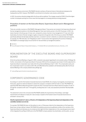provided by a diverse environment. PALFINGER intends to achieve a 20 percent share of international employees at its headquarters by 2022. However, PALFINGER's commitment to its Austrian roots remains undiminished.

In 2022, the previous diversity strategy within the Group will be redefined. The changes caused by COVID-19 and the higher number of employees working from home mean that new targets for increasing diversity are being prepared.

## Promotion of women on the Executive Board, Supervisory Board and in Management positions

There are currently no women on PALFINGER's Management Board. Three women are involved in the Supervisory Board and five top management positions in the Global Management Team were held by women in the 2021 fiscal year. In 2021, the share of women in the Group was 13.3 per cent, compared to a share of women in top management of 7.2 per cent. At the levels below, the share of female managers roughly corresponds to the gender ratio of the Group as a whole. PALFINGER specifically addresses female high potentials at job fairs, is involved in women's networks on a selective basis and supports, for example, the "Mini Girls Day" and "Neugierig ins Leben" (Curious about Life) organized by the province of Salzburg. PALFINGER is increasingly trying to recruit women for new and follow-up management positions.

 $GRI 405-1$ 

Group Management Report, Responsible Employer, p. 77; Detailed GRI and sustainability disclosures, Diversity, p. 214

# REMUNERATION OF THE EXECUTIVE BOARD AND SUPERVISORY BOARD

At the Annual General Meeting on August 5, 2020, a resolution was passed regarding the remuneration policy of Palfinger AG. Further, remuneration of the Supervisory Board in fiscal year 2020 and the ensuing years was revised. A further adjustment to Supervisory Board compensation was made at the Annual General Meeting on April 7, 2021. The compensation policy and the compensation report in accordance with § 78c and § 98a AktG will be available to all interested parties after the Annual General Meeting on the company website www.palfinger.ag).

www.palfinger.ag/en/investors/corporate-governance

# CORPORATE GOVERNANCE CODE

According to C-rule 62 of the Austrian Corporate Governance Code (ÖCGK), the company must regularly, but at least every three years, appoint an external institution to assess the company's compliance with the Code's C-rules. PALFINGER has appointed PWC Wirtschaftsprüfung GmbH to assess the 2021 Corporate Governance Report with the exception of rules 77 through 83. Compliance with rules 77 through 83, providing these are C-rules, was assessed by Schönherr Rechtsanwälte GmbH.

The assessment came to the conclusion that PALFINGER satisfies the requirements of the binding L-rules (legal requirements) and adheres to nearly all C-rules (comply or explain) of the Austrian Code of Corporate Governance as amended in January 2021.

#### Only the requirements for C-rules no. 39 and no. 53 (independence of the Supervisory Board and independence of the committee members) are not met.

For example, PALFINGER AG does not fully adhere to rule no. 53 because criteria for the independence of the Supervisory Board have not been defined. Instead, PALFINGER AG publishes personal and qualification profiles of the members of the Supervisory Board and discloses any circumstances that might limit their independence in the corporate governance report of this Integrated Annual Report 2020 and on the PALFINGER company website. Any shareholder, and the public, can use